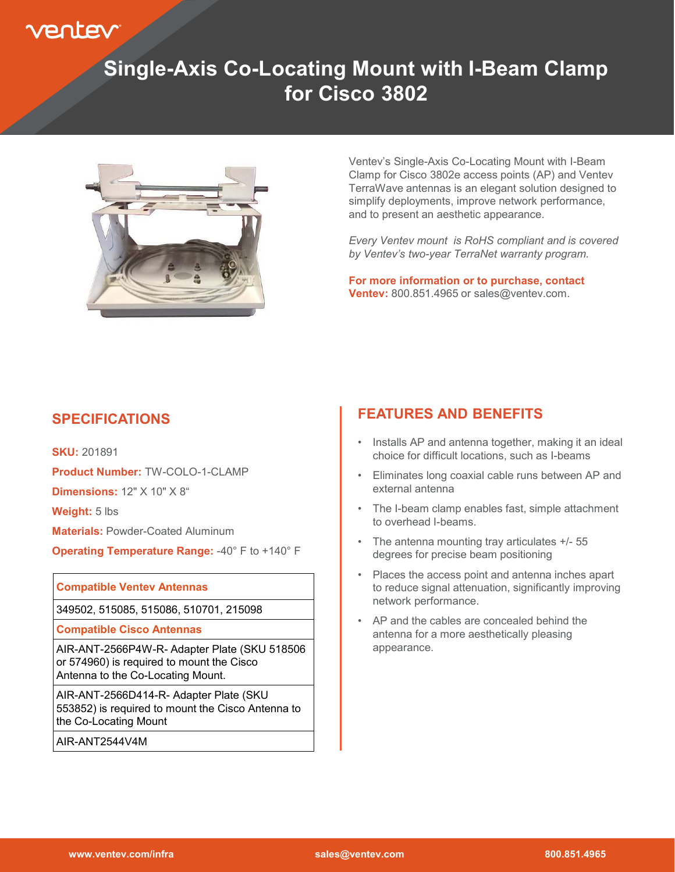

# **Single-Axis Co-Locating Mount with I-Beam Clamp for Cisco 3802**



Ventev's Single-Axis Co-Locating Mount with I-Beam Clamp for Cisco 3802e access points (AP) and Ventev TerraWave antennas is an elegant solution designed to simplify deployments, improve network performance, and to present an aesthetic appearance.

*Every Ventev mount is RoHS compliant and is covered by Ventev's two-year TerraNet warranty program.* 

**For more information or to purchase, contact Ventev:** 800.851.4965 or sales@ventev.com.

#### **SPECIFICATIONS**

**SKU:** 201891 **Product Number:** TW-COLO-1-CLAMP **Dimensions: 12" X 10" X 8" Weight:** 5 lbs

**Materials: Powder-Coated Aluminum** 

**Operating Temperature Range:** -40° F to +140° F

#### **Compatible Ventev Antennas**

349502, 515085, 515086, 510701, 215098

**Compatible Cisco Antennas** 

AIR-ANT-2566P4W-R- Adapter Plate (SKU 518506 or 574960) is required to mount the Cisco Antenna to the Co-Locating Mount.

AIR-ANT-2566D414-R- Adapter Plate (SKU 553852) is required to mount the Cisco Antenna to the Co-Locating Mount

AIR-ANT2544V4M

### **FEATURES AND BENEFITS**

- Installs AP and antenna together, making it an ideal choice for difficult locations, such as I-beams
- Eliminates long coaxial cable runs between AP and external antenna
- The I-beam clamp enables fast, simple attachment to overhead I-beams.
- The antenna mounting tray articulates +/- 55 degrees for precise beam positioning
- Places the access point and antenna inches apart to reduce signal attenuation, significantly improving network performance.
- AP and the cables are concealed behind the antenna for a more aesthetically pleasing appearance.